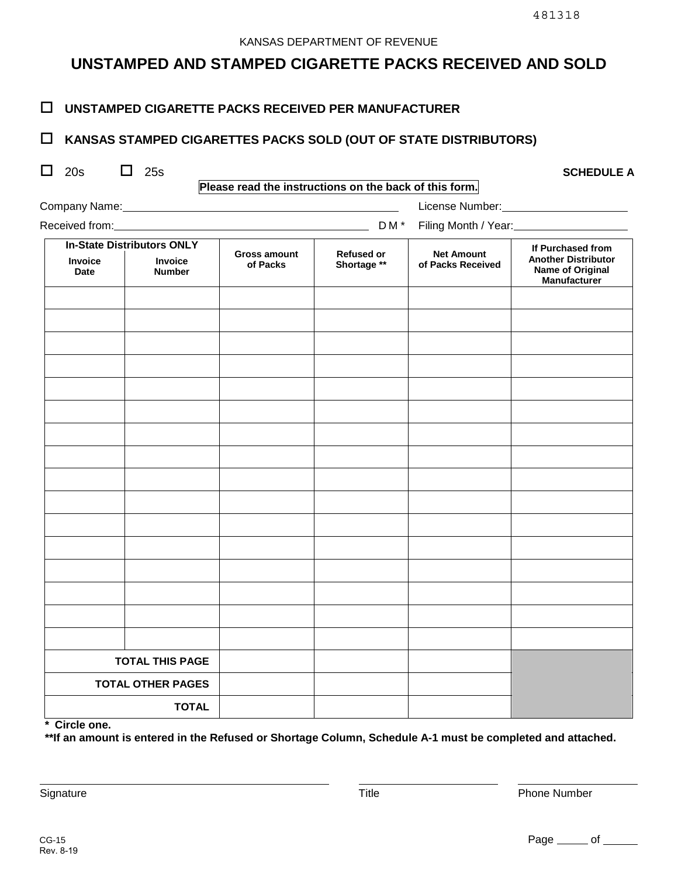# **UNSTAMPED AND STAMPED CIGARETTE PACKS RECEIVED AND SOLD**

### **UNSTAMPED CIGARETTE PACKS RECEIVED PER MANUFACTURER**

## **KANSAS STAMPED CIGARETTES PACKS SOLD (OUT OF STATE DISTRIBUTORS)**

Company Name: License Number: License Number:

| $\Box$ 20s | 25s | <b>SCHEDULE A</b> |
|------------|-----|-------------------|
|            |     |                   |

**Please read the instructions on the back of this form.**

| Received from: |  |
|----------------|--|

| eceived from:          |                                                               | DM <sup>*</sup><br>Filing Month / Year: |                                  |                                        |                                                                                     |  |
|------------------------|---------------------------------------------------------------|-----------------------------------------|----------------------------------|----------------------------------------|-------------------------------------------------------------------------------------|--|
| Invoice<br><b>Date</b> | <b>In-State Distributors ONLY</b><br>Invoice<br><b>Number</b> | <b>Gross amount</b><br>of Packs         | <b>Refused or</b><br>Shortage ** | <b>Net Amount</b><br>of Packs Received | If Purchased from<br><b>Another Distributor</b><br>Name of Original<br>Manufacturer |  |
|                        |                                                               |                                         |                                  |                                        |                                                                                     |  |
|                        |                                                               |                                         |                                  |                                        |                                                                                     |  |
|                        |                                                               |                                         |                                  |                                        |                                                                                     |  |
|                        |                                                               |                                         |                                  |                                        |                                                                                     |  |
|                        |                                                               |                                         |                                  |                                        |                                                                                     |  |
|                        |                                                               |                                         |                                  |                                        |                                                                                     |  |
|                        |                                                               |                                         |                                  |                                        |                                                                                     |  |
|                        |                                                               |                                         |                                  |                                        |                                                                                     |  |
|                        |                                                               |                                         |                                  |                                        |                                                                                     |  |
|                        |                                                               |                                         |                                  |                                        |                                                                                     |  |
|                        |                                                               |                                         |                                  |                                        |                                                                                     |  |
|                        |                                                               |                                         |                                  |                                        |                                                                                     |  |
|                        |                                                               |                                         |                                  |                                        |                                                                                     |  |
|                        |                                                               |                                         |                                  |                                        |                                                                                     |  |
|                        |                                                               |                                         |                                  |                                        |                                                                                     |  |
|                        |                                                               |                                         |                                  |                                        |                                                                                     |  |
| <b>TOTAL THIS PAGE</b> |                                                               |                                         |                                  |                                        |                                                                                     |  |
|                        | <b>TOTAL OTHER PAGES</b>                                      |                                         |                                  |                                        |                                                                                     |  |
|                        | <b>TOTAL</b>                                                  |                                         |                                  |                                        |                                                                                     |  |

**\* Circle one.**

**\*\*If an amount is entered in the Refused or Shortage Column, Schedule A-1 must be completed and attached.**

Signature **Title** Phone Number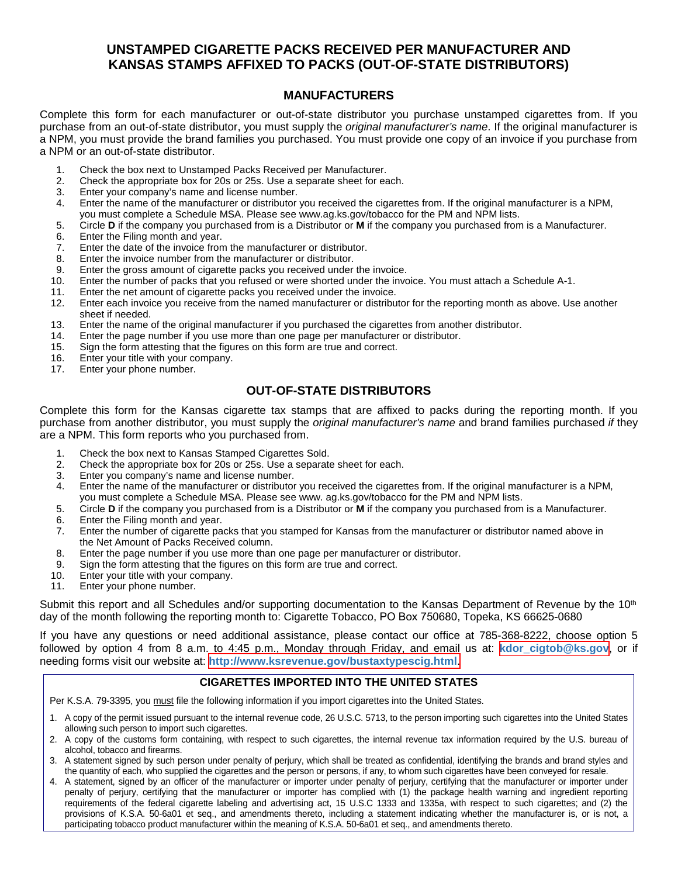## **UNSTAMPED CIGARETTE PACKS RECEIVED PER MANUFACTURER AND KANSAS STAMPS AFFIXED TO PACKS (OUT-OF-STATE DISTRIBUTORS)**

#### **MANUFACTURERS**

Complete this form for each manufacturer or out-of-state distributor you purchase unstamped cigarettes from. If you purchase from an out-of-state distributor, you must supply the *original manufacturer's name*. If the original manufacturer is a NPM, you must provide the brand families you purchased. You must provide one copy of an invoice if you purchase from a NPM or an out-of-state distributor.

- 1. Check the box next to Unstamped Packs Received per Manufacturer.<br>2. Check the appropriate box for 20s or 25s. Use a separate sheet for ea
- 2. Check the appropriate box for 20s or 25s. Use a separate sheet for each.
- 3. Enter your company's name and license number.
- 4. Enter the name of the manufacturer or distributor you received the cigarettes from. If the original manufacturer is a NPM, you must complete a Schedule MSA. Please see www.ag.ks.gov/tobacco for the PM and NPM lists.
- 5. Circle **D** if the company you purchased from is a Distributor or **M** if the company you purchased from is a Manufacturer.
- 6. Enter the Filing month and year.<br>7. Enter the date of the invoice fron
- Enter the date of the invoice from the manufacturer or distributor.
- 8. Enter the invoice number from the manufacturer or distributor.
- 9. Enter the gross amount of cigarette packs you received under the invoice.<br>10. Enter the number of packs that you refused or were shorted under the invo
- Enter the number of packs that you refused or were shorted under the invoice. You must attach a Schedule A-1.
- 11. Enter the net amount of cigarette packs you received under the invoice.
- 12. Enter each invoice you receive from the named manufacturer or distributor for the reporting month as above. Use another sheet if needed.
- 13. Enter the name of the original manufacturer if you purchased the cigarettes from another distributor.
- 14. Enter the page number if you use more than one page per manufacturer or distributor.
- 15. Sign the form attesting that the figures on this form are true and correct.<br>16. Enter your title with your company.
- 16. Enter your title with your company.<br>17. Enter your phone number.
- Enter your phone number.

#### **OUT-OF-STATE DISTRIBUTORS**

Complete this form for the Kansas cigarette tax stamps that are affixed to packs during the reporting month. If you purchase from another distributor, you must supply the *original manufacturer's name* and brand families purchased *if* they are a NPM. This form reports who you purchased from.

- 1. Check the box next to Kansas Stamped Cigarettes Sold.<br>2. Check the appropriate box for 20s or 25s. Use a separate
- 2. Check the appropriate box for 20s or 25s. Use a separate sheet for each.
- 3. Enter you company's name and license number.
- 4. Enter the name of the manufacturer or distributor you received the cigarettes from. If the original manufacturer is a NPM, you must complete a Schedule MSA. Please see www. ag.ks.gov/tobacco for the PM and NPM lists.
- 5. Circle **D** if the company you purchased from is a Distributor or **M** if the company you purchased from is a Manufacturer.
- 6. Enter the Filing month and year.
- 7. Enter the number of cigarette packs that you stamped for Kansas from the manufacturer or distributor named above in the Net Amount of Packs Received column.
- 8. Enter the page number if you use more than one page per manufacturer or distributor.<br>9. Sign the form attesting that the figures on this form are true and correct.
- Sign the form attesting that the figures on this form are true and correct.
- 10. Enter your title with your company.
- 11. Enter your phone number.

Submit this report and all Schedules and/or supporting documentation to the Kansas Department of Revenue by the 10<sup>th</sup> day of the month following the reporting month to: Cigarette Tobacco, PO Box 750680, Topeka, KS 66625-0680

If you have any questions or need additional assistance, please contact our office at 785-368-8222, choose option 5 followed by option 4 from 8 a.m. to 4:45 p.m., Monday through Friday, and email us at: **[kdor\\_cigtob@ks.gov](mailto:kdor_cigtob@ks.gov)**, or if needing forms visit our website at: **[http://www.ksrevenue.](https://www.ksrevenue.org/bustaxtypescig.html)gov/bustaxtypescig.html**.

#### **CIGARETTES IMPORTED INTO THE UNITED STATES**

Per K.S.A. 79-3395, you must file the following information if you import cigarettes into the United States.

- 1. A copy of the permit issued pursuant to the internal revenue code, 26 U.S.C. 5713, to the person importing such cigarettes into the United States allowing such person to import such cigarettes.
- 2. A copy of the customs form containing, with respect to such cigarettes, the internal revenue tax information required by the U.S. bureau of alcohol, tobacco and firearms.
- 3. A statement signed by such person under penalty of perjury, which shall be treated as confidential, identifying the brands and brand styles and the quantity of each, who supplied the cigarettes and the person or persons, if any, to whom such cigarettes have been conveyed for resale.
- 4. A statement, signed by an officer of the manufacturer or importer under penalty of perjury, certifying that the manufacturer or importer under penalty of perjury, certifying that the manufacturer or importer has complied with (1) the package health warning and ingredient reporting requirements of the federal cigarette labeling and advertising act, 15 U.S.C 1333 and 1335a, with respect to such cigarettes; and (2) the provisions of K.S.A. 50-6a01 et seq., and amendments thereto, including a statement indicating whether the manufacturer is, or is not, a participating tobacco product manufacturer within the meaning of K.S.A. 50-6a01 et seq., and amendments thereto.